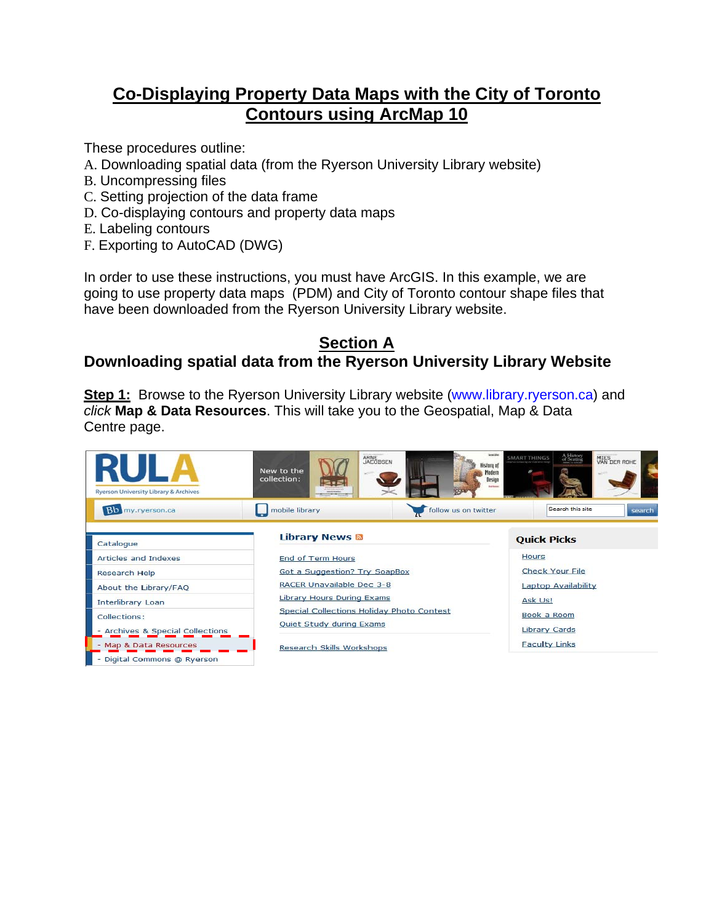# **Co-Displaying Property Data Maps with the City of Toronto Contours using ArcMap 10**

These procedures outline:

- A. Downloading spatial data (from the Ryerson University Library website)
- B. Uncompressing files
- C. Setting projection of the data frame
- D. Co-displaying contours and property data maps
- E. Labeling contours
- F. Exporting to AutoCAD (DWG)

In order to use these instructions, you must have ArcGIS. In this example, we are going to use property data maps (PDM) and City of Toronto contour shape files that have been downloaded from the Ryerson University Library website.

#### **Section A Downloading spatial data from the Ryerson University Library Website**

**Step 1:** Browse to the Ryerson University Library website (www.library.ryerson.ca) and *click* **Map & Data Resources**. This will take you to the Geospatial, Map & Data Centre page.

| <b>Ryerson University Library &amp; Archives</b> | ARNE<br>JACOBSEN<br>New to the<br>collection:<br>53<br>www.bit.com | <b>Senation</b><br>A History<br>of Seating<br>MIES<br>VAN DER ROHE<br><b>SMART THINGS</b><br>History of<br>Madern<br>Design<br><b>East Service</b> |
|--------------------------------------------------|--------------------------------------------------------------------|----------------------------------------------------------------------------------------------------------------------------------------------------|
| Bo my ryerson.ca                                 | mobile library<br>follow us on twitter                             | Search this site<br>search                                                                                                                         |
| Catalogue                                        | <b>Library News &amp;</b>                                          | <b>Quick Picks</b>                                                                                                                                 |
| Articles and Indexes                             | End of Term Hours                                                  | <b>Hours</b>                                                                                                                                       |
| Research Help                                    | <b>Got a Suggestion? Try SoapBox</b>                               | Check Your File                                                                                                                                    |
| About the Library/FAQ                            | RACER Unavailable Dec 3-8                                          | Laptop Availability                                                                                                                                |
| <b>Interlibrary Loan</b>                         | <b>Library Hours During Exams</b>                                  | Ask Us!                                                                                                                                            |
| Collections:                                     | Special Collections Holiday Photo Contest                          | Book a Room                                                                                                                                        |
| - Archives & Special Collections                 | Quiet Study during Exams                                           | Library Cards                                                                                                                                      |
| - Map & Data Resources                           | Research Skills Workshops                                          | <b>Faculty Links</b>                                                                                                                               |
| Digital Commons @ Ryerson                        |                                                                    |                                                                                                                                                    |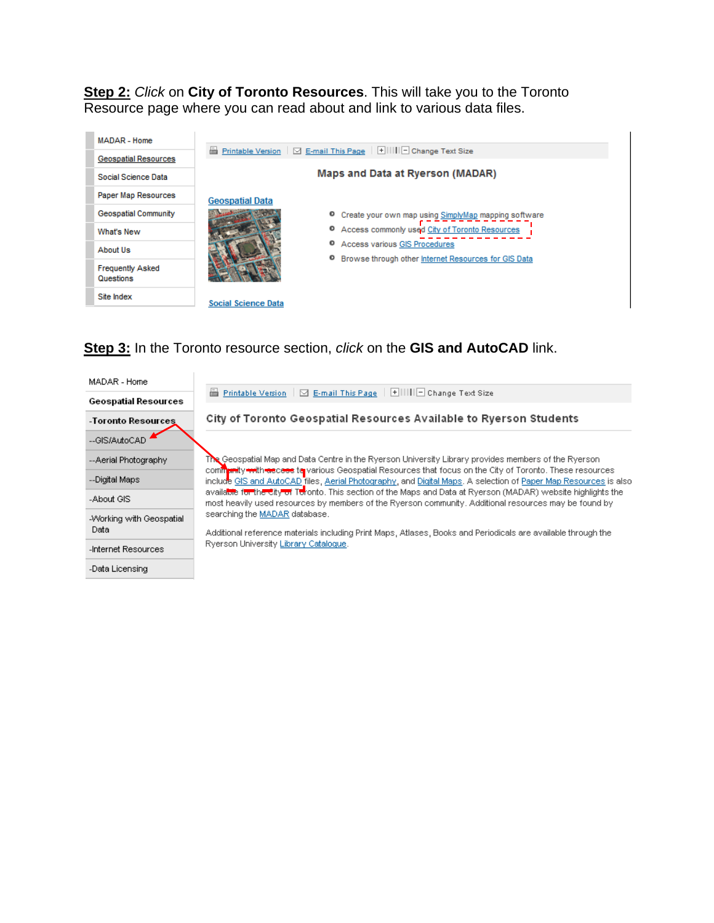**Step 2:** *Click* on **City of Toronto Resources**. This will take you to the Toronto Resource page where you can read about and link to various data files.



**Step 3:** In the Toronto resource section, *click* on the **GIS and AutoCAD** link.

| MADAR - Home                     |                                                                                                                                                                                                                                     |
|----------------------------------|-------------------------------------------------------------------------------------------------------------------------------------------------------------------------------------------------------------------------------------|
| <b>Geospatial Resources</b>      | <b>E</b> Printable Version   ⊠ E-mail This Page   HIIIIIIIIIIIII Change Text Size                                                                                                                                                   |
| -Toronto Resources               | City of Toronto Geospatial Resources Available to Ryerson Students                                                                                                                                                                  |
| --GIS/AutoCAD                    |                                                                                                                                                                                                                                     |
| --Aerial Photography             | The Geospatial Map and Data Centre in the Ryerson University Library provides members of the Ryerson                                                                                                                                |
| --Digital Maps                   | community with the case to various Geospatial Resources that focus on the City of Toronto. These resources<br>include GIS and AutoCAD files, Aerial Photography, and Digital Maps. A selection of Paper Map Resources is also       |
| -About GIS                       | available f <del>or the City of</del> Toronto. This section of the Maps and Data at Ryerson (MADAR) website highlights the<br>most heavily used resources by members of the Ryerson community. Additional resources may be found by |
| -Working with Geospatial<br>Data | searching the MADAR database.                                                                                                                                                                                                       |
|                                  | Additional reference materials including Print Maps, Atlases, Books and Periodicals are available through the                                                                                                                       |
| -Internet Resources              | Ryerson University Library Cataloque.                                                                                                                                                                                               |
| -Data Licensing                  |                                                                                                                                                                                                                                     |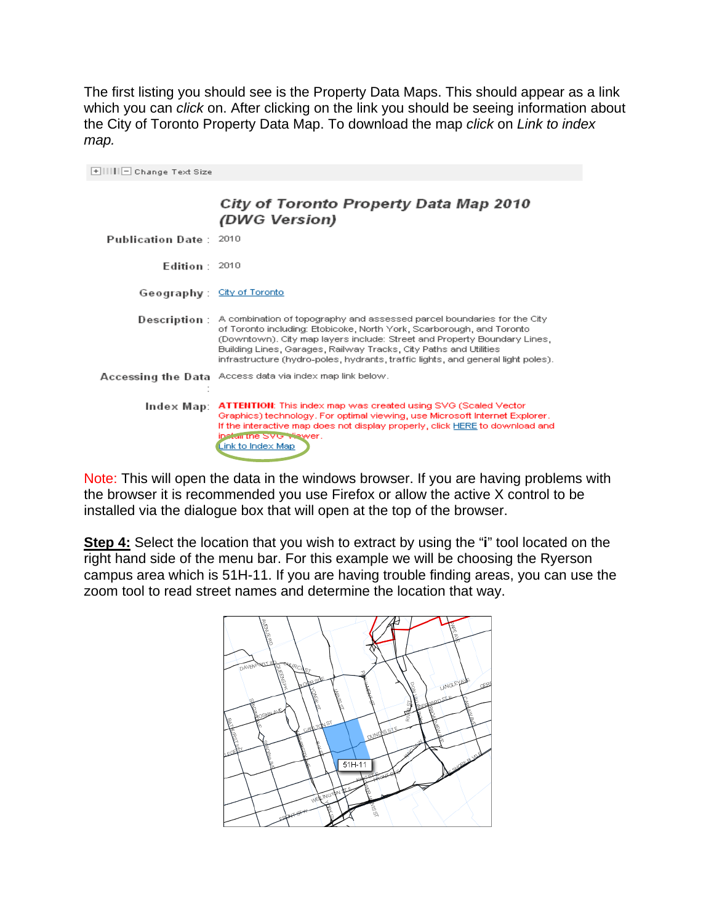The first listing you should see is the Property Data Maps. This should appear as a link which you can *click* on. After clicking on the link you should be seeing information about the City of Toronto Property Data Map. To download the map *click* on *Link to index map.*

| E IIIIII Ohange Text Size     |                                                                                                                                                                                                                                                                                                                                                                                       |
|-------------------------------|---------------------------------------------------------------------------------------------------------------------------------------------------------------------------------------------------------------------------------------------------------------------------------------------------------------------------------------------------------------------------------------|
|                               | City of Toronto Property Data Map 2010<br>(DWG Version)                                                                                                                                                                                                                                                                                                                               |
| <b>Publication Date: 2010</b> |                                                                                                                                                                                                                                                                                                                                                                                       |
| Edition $2010$                |                                                                                                                                                                                                                                                                                                                                                                                       |
| Geography: City of Toronto    |                                                                                                                                                                                                                                                                                                                                                                                       |
| Description:                  | A combination of topography and assessed parcel boundaries for the City<br>of Toronto including: Etobicoke, North York, Scarborough, and Toronto<br>(Downtown). City map layers include: Street and Property Boundary Lines,<br>Building Lines, Garages, Railway Tracks, City Paths and Utilities<br>infrastructure (hydro-poles, hydrants, traffic lights, and general light poles). |
|                               | Accessing the Data Access data via index map link below.                                                                                                                                                                                                                                                                                                                              |
| Index Map:                    | <b>ATTENTION:</b> This index map was created using SVG (Scaled Vector<br>Graphics) technology. For optimal viewing, use Microsoft Internet Explorer.<br>If the interactive map does not display properly, click HERE to download and<br>install the SMG Mewer.<br>Link to Index Map                                                                                                   |

Note: This will open the data in the windows browser. If you are having problems with the browser it is recommended you use Firefox or allow the active X control to be installed via the dialogue box that will open at the top of the browser.

**Step 4:** Select the location that you wish to extract by using the "**i**" tool located on the right hand side of the menu bar. For this example we will be choosing the Ryerson campus area which is 51H-11. If you are having trouble finding areas, you can use the zoom tool to read street names and determine the location that way.

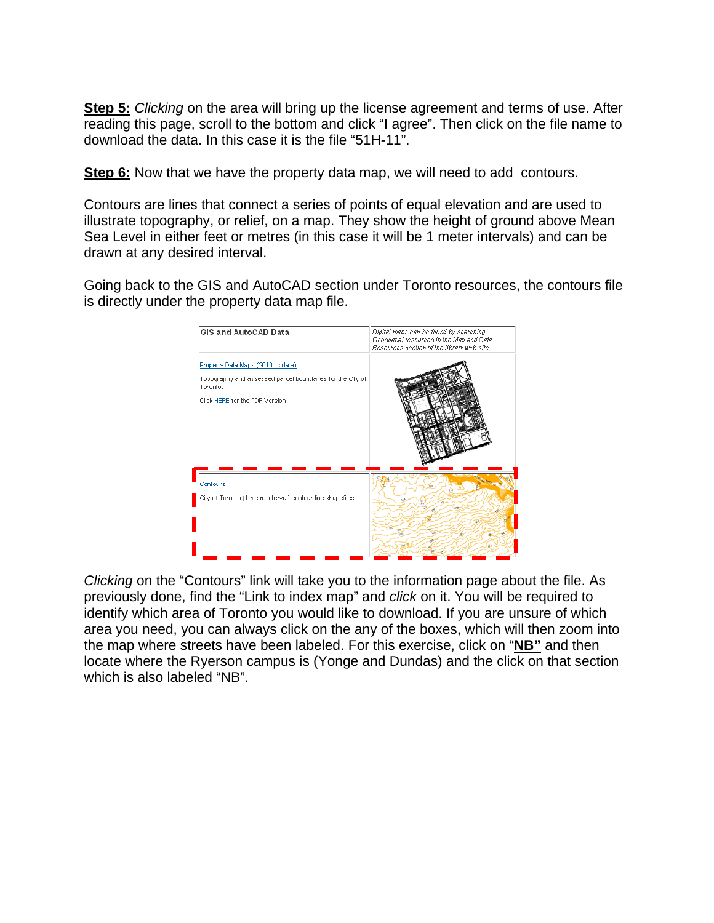**Step 5:** *Clicking* on the area will bring up the license agreement and terms of use. After reading this page, scroll to the bottom and click "I agree". Then click on the file name to download the data. In this case it is the file "51H-11".

**Step 6:** Now that we have the property data map, we will need to add contours.

Contours are lines that connect a series of points of equal elevation and are used to illustrate topography, or relief, on a map. They show the height of ground above Mean Sea Level in either feet or metres (in this case it will be 1 meter intervals) and can be drawn at any desired interval.

Going back to the GIS and AutoCAD section under Toronto resources, the contours file is directly under the property data map file.



*Clicking* on the "Contours" link will take you to the information page about the file. As previously done, find the "Link to index map" and *click* on it. You will be required to identify which area of Toronto you would like to download. If you are unsure of which area you need, you can always click on the any of the boxes, which will then zoom into the map where streets have been labeled. For this exercise, click on "**NB"** and then locate where the Ryerson campus is (Yonge and Dundas) and the click on that section which is also labeled "NB".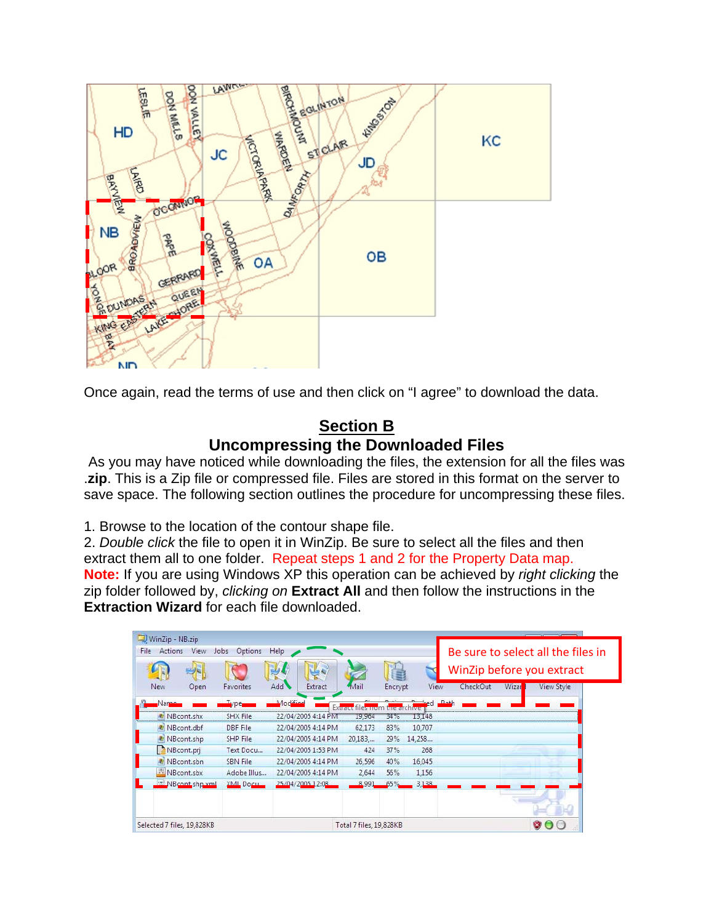

Once again, read the terms of use and then click on "I agree" to download the data.

### **Section B Uncompressing the Downloaded Files**

As you may have noticed while downloading the files, the extension for all the files was .**zip**. This is a Zip file or compressed file. Files are stored in this format on the server to save space. The following section outlines the procedure for uncompressing these files.

1. Browse to the location of the contour shape file.

2. *Double click* the file to open it in WinZip. Be sure to select all the files and then extract them all to one folder. Repeat steps 1 and 2 for the Property Data map. **Note:** If you are using Windows XP this operation can be achieved by *right clicking* the zip folder followed by, *clicking on* **Extract All** and then follow the instructions in the **Extraction Wizard** for each file downloaded.

| Actions<br>View<br>File    | Options<br>Jobs | Help               |                         |              |             | Be sure to select all the files in<br>WinZip before you extract |       |            |  |  |
|----------------------------|-----------------|--------------------|-------------------------|--------------|-------------|-----------------------------------------------------------------|-------|------------|--|--|
| New<br>Open                | Favorites       | Add<br>Extract     | Mail                    | Encrypt      | <b>View</b> | CheckOut                                                        | Wizar | View Style |  |  |
| Varne                      | vne             | Modified           | EXtract                 | the dichive. |             | D <sub>2</sub>                                                  |       |            |  |  |
| NBcont.shx                 | SHX File        | 22/04/2005 4:14 PM | 19,964                  | 34%          | 13,148      |                                                                 |       |            |  |  |
| NBcont.dbf                 | DBF File        | 22/04/2005 4:14 PM | 62,173                  | 83%          | 10,707      |                                                                 |       |            |  |  |
| NBcont.shp                 | SHP File        | 22/04/2005 4:14 PM | 20,183,                 | 29%          | 14,258      |                                                                 |       |            |  |  |
| NBcont.pri                 | Text Docu       | 22/04/2005 1:53 PM | 424                     | 37%          | 268         |                                                                 |       |            |  |  |
| NBcont.sbn<br>127          | <b>SBN</b> File | 22/04/2005 4:14 PM | 26,596                  | 40%          | 16,045      |                                                                 |       |            |  |  |
| NBcont.sbx                 | Adobe Illus     | 22/04/2005 4:14 PM | 2,644                   | 56%          | 1,156       |                                                                 |       |            |  |  |
| NBcont shp xml             | XML Docu        | 25/04/2005 12:08   | 8,991                   | 65%          | 3,138       |                                                                 |       |            |  |  |
|                            |                 |                    |                         |              |             |                                                                 |       |            |  |  |
| Selected 7 files, 19,828KB |                 |                    | Total 7 files, 19,828KB |              |             |                                                                 |       | V.         |  |  |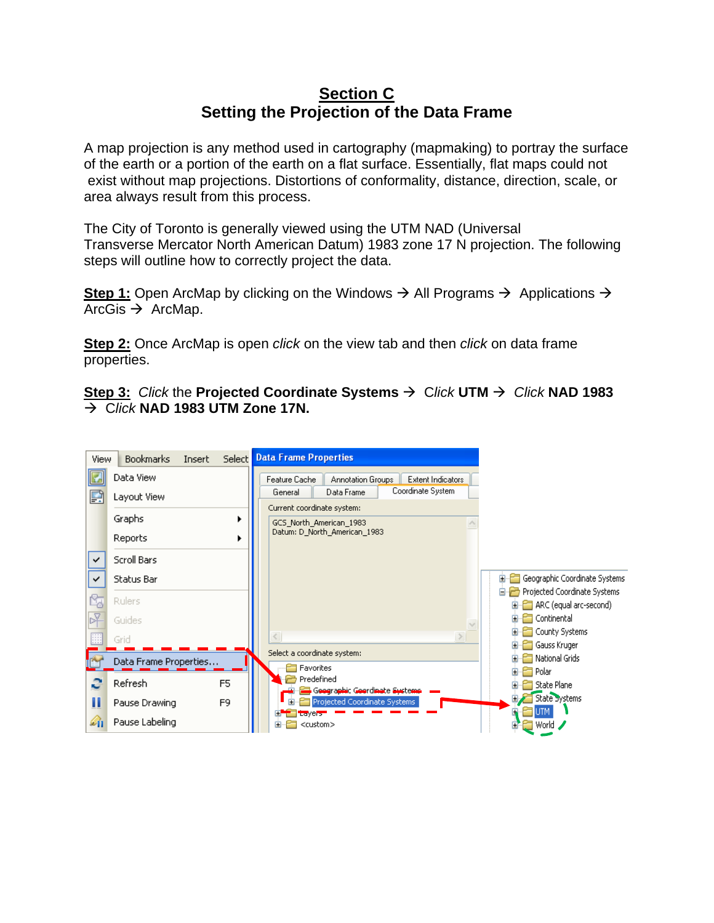### **Section C Setting the Projection of the Data Frame**

A map projection is any method used in cartography (mapmaking) to portray the surface of the earth or a portion of the earth on a flat surface. Essentially, flat maps could not exist without map projections. Distortions of conformality, distance, direction, scale, or area always result from this process.

The City of Toronto is generally viewed using the UTM NAD (Universal Transverse Mercator North American Datum) 1983 zone 17 N projection. The following steps will outline how to correctly project the data.

**Step 1:** Open ArcMap by clicking on the Windows  $\rightarrow$  All Programs  $\rightarrow$  Applications  $\rightarrow$ ArcGis  $\rightarrow$  ArcMap.

**Step 2:** Once ArcMap is open *click* on the view tab and then *click* on data frame properties.

**<u>Step 3: Click the Projected Coordinate Systems**  $\rightarrow$  **Click UTM**  $\rightarrow$  **Click NAD 1983**</u>  $\rightarrow$  Click **NAD 1983 UTM Zone 17N.** 

| View                         | <b>Bookmarks</b><br>Insert       |                | Select Data Frame Properties                                                                                                                               |
|------------------------------|----------------------------------|----------------|------------------------------------------------------------------------------------------------------------------------------------------------------------|
| P                            | Data View<br>Layout View         |                | Feature Cache<br>Annotation Groups<br>Extent Indicators<br>Coordinate System<br>Data Frame<br>General                                                      |
|                              | Graphs<br>Reports                |                | Current coordinate system:<br>GCS_North_American_1983<br>Datum: D_North_American_1983                                                                      |
| $\checkmark$<br>$\checkmark$ | Scroll Bars<br><b>Status Bar</b> |                | Geographic Coordinate Systems<br>⊞-<br>۴<br>Projected Coordinate Systems<br>8. m                                                                           |
|                              | <b>Rulers</b><br>Guides<br>Grid  |                | ARC (equal arc-second)<br>国<br>Continental<br>County Systems<br>$\,>$                                                                                      |
|                              | Data Frame Properties<br>Refresh | F5             | Gauss Kruger<br>Select a coordinate system:<br>Mational Grids<br>Favorites<br>크 Polar<br>Predefined                                                        |
| Ш<br>Øή                      | Pause Drawing<br>Pause Labeling  | F <sub>9</sub> | State Plane<br>Geographic Goordinate Systems<br>State Systems<br>Projected Coordinate Systems<br>toyers <sup>-</sup><br>World 2<br><custom><br/>国</custom> |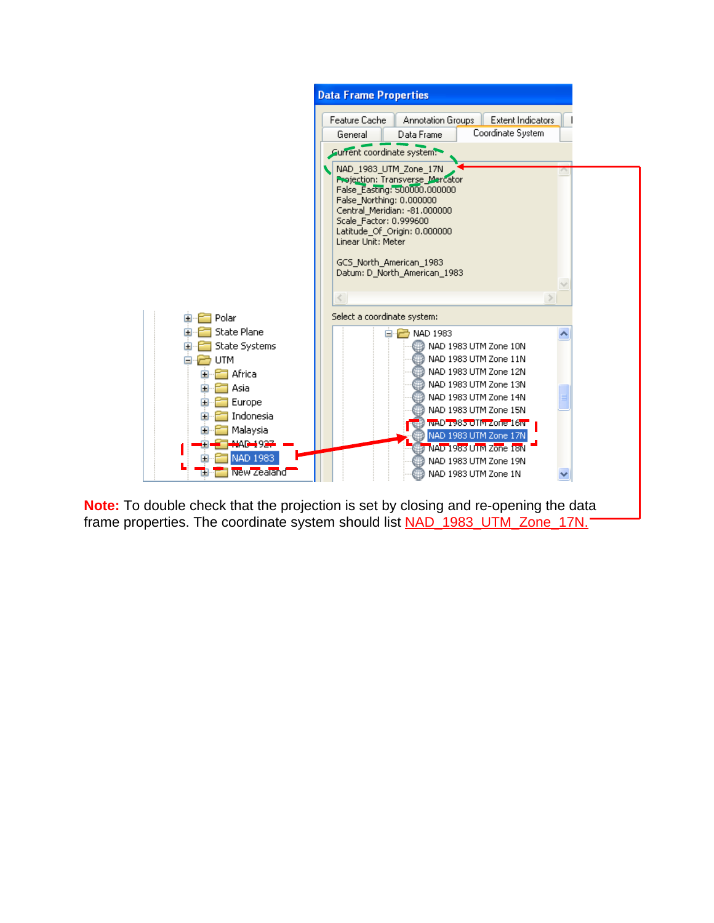

**Note:** To double check that the projection is set by closing and re-opening the data frame properties. The coordinate system should list **NAD\_1983\_UTM\_Zone\_17N.**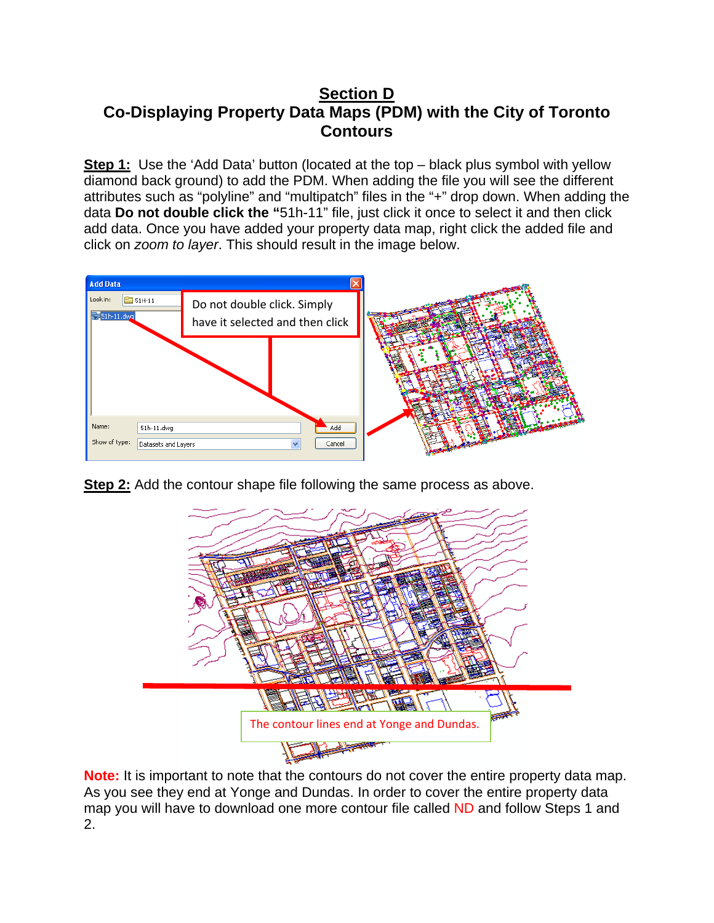### **Section D Co-Displaying Property Data Maps (PDM) with the City of Toronto Contours**

**Step 1:** Use the 'Add Data' button (located at the top – black plus symbol with yellow diamond back ground) to add the PDM. When adding the file you will see the different attributes such as "polyline" and "multipatch" files in the "+" drop down. When adding the data **Do not double click the "**51h-11" file, just click it once to select it and then click add data. Once you have added your property data map, right click the added file and click on *zoom to layer*. This should result in the image below.



**Step 2:** Add the contour shape file following the same process as above.



**Note:** It is important to note that the contours do not cover the entire property data map. As you see they end at Yonge and Dundas. In order to cover the entire property data map you will have to download one more contour file called ND and follow Steps 1 and 2.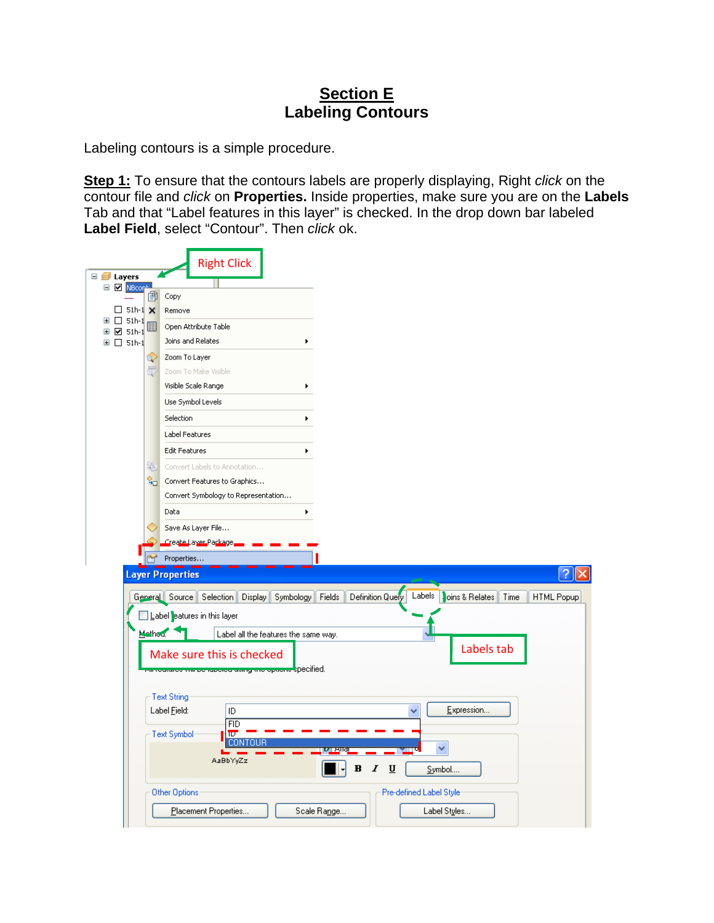## **Section E Labeling Contours**

Labeling contours is a simple procedure.

**Step 1:** To ensure that the contours labels are properly displaying, Right *click* on the contour file and *click* on **Properties.** Inside properties, make sure you are on the **Labels**  Tab and that "Label features in this layer" is checked. In the drop down bar labeled **Label Field**, select "Contour". Then *click* ok.

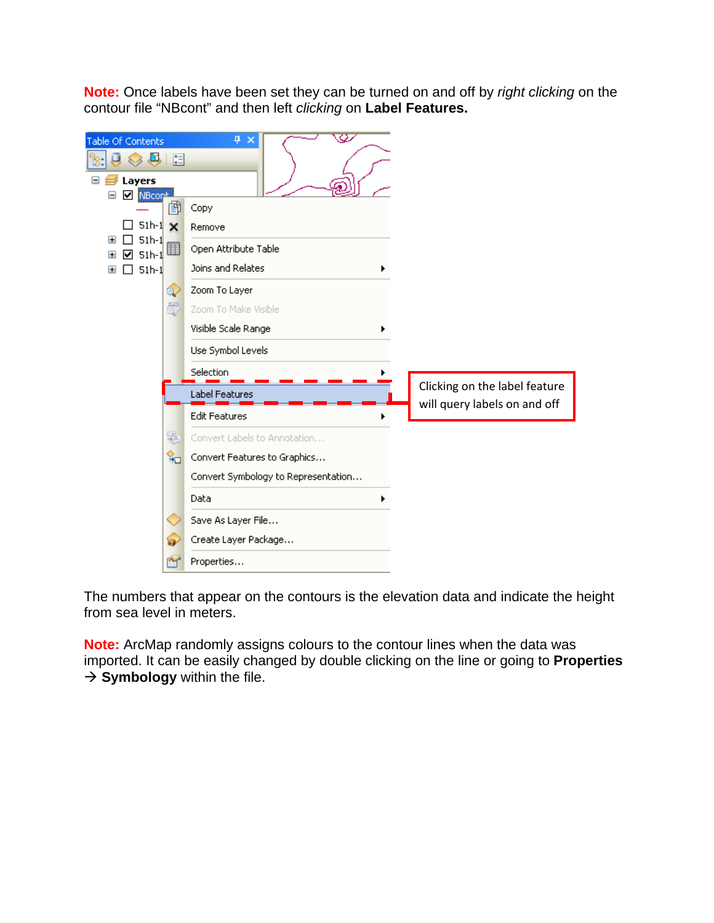**Note:** Once labels have been set they can be turned on and off by *right clicking* on the contour file "NBcont" and then left *clicking* on **Label Features.** 

| Table Of Contents<br>€<br>$\mathbb{E}$<br>⇖<br>Layers<br>$\blacksquare$<br><b>☑</b> NBcont<br>⊟ | $\bar{\varphi}$<br>4 ×                                                 |  |
|-------------------------------------------------------------------------------------------------|------------------------------------------------------------------------|--|
| Ei<br>$51h-1$<br>$\mathbf x$                                                                    | Copy<br>Remove                                                         |  |
| $51h-1$<br>$\blacksquare$<br>■<br>$51h-1$<br>$\mathbf{H}$<br>$51h-1$<br>$\mathbf{H}$            | Open Attribute Table<br>Joins and Relates                              |  |
| Q<br>5                                                                                          | Zoom To Layer<br>Zoom To Make Visible                                  |  |
|                                                                                                 | Visible Scale Range<br>Use Symbol Levels                               |  |
|                                                                                                 | Selection<br>Clicking on the label feature                             |  |
|                                                                                                 | Label Features<br>will query labels on and off<br><b>Edit Features</b> |  |
| 蟲<br>ੂ⊤                                                                                         | Convert Labels to Annotation<br>Convert Features to Graphics           |  |
|                                                                                                 | Convert Symbology to Representation<br>Data                            |  |
|                                                                                                 | Save As Layer File                                                     |  |
|                                                                                                 | Create Layer Package<br>Properties                                     |  |

The numbers that appear on the contours is the elevation data and indicate the height from sea level in meters.

**Note:** ArcMap randomly assigns colours to the contour lines when the data was imported. It can be easily changed by double clicking on the line or going to **Properties**   $\rightarrow$  **Symbology** within the file.